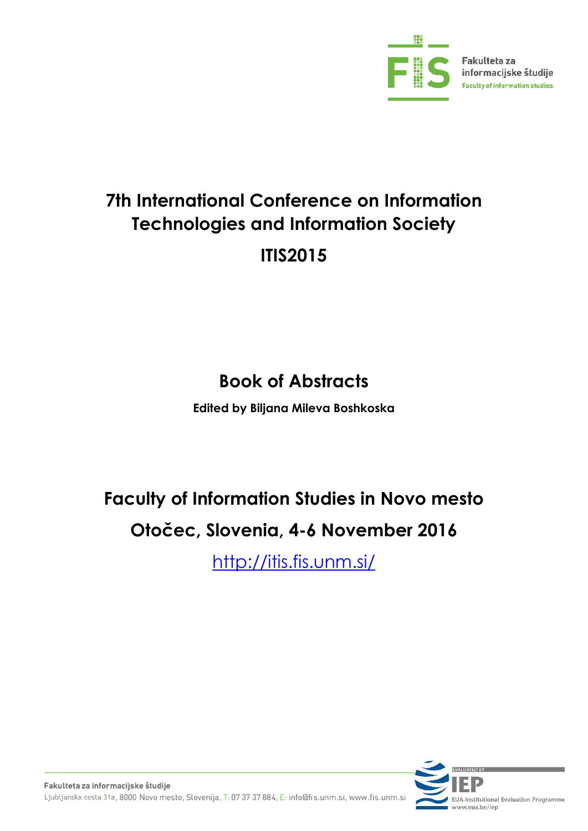

# **7th International Conference on Information Technologies and Information Society ITIS2015**

## **Book of Abstracts**

**Edited by Biljana Mileva Boshkoska**

# **Faculty of Information Studies in Novo mesto Otočec, Slovenia, 4-6 November 2016**

[http://itis.fis.unm.si/](http://itis2014.fis.unm.si/)

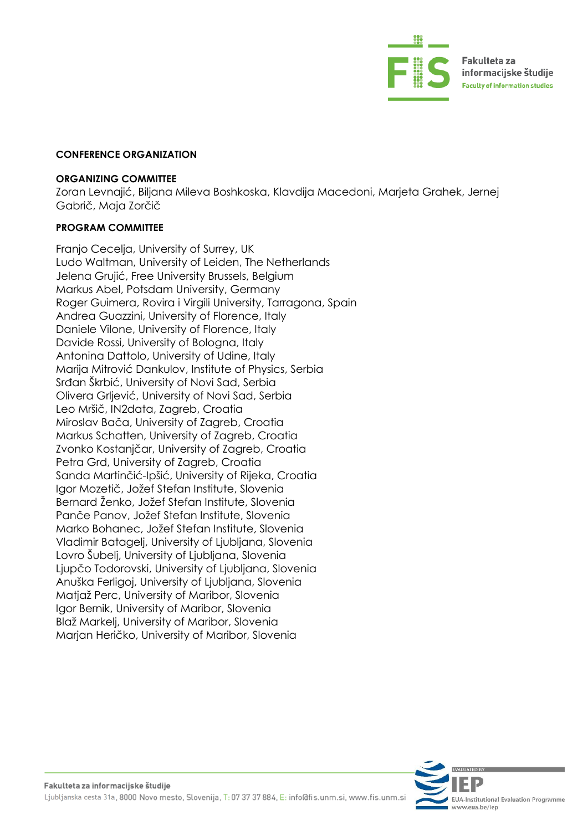

#### **CONFERENCE ORGANIZATION**

#### **ORGANIZING COMMITTEE**

Zoran Levnajić, Biljana Mileva Boshkoska, Klavdija Macedoni, Marjeta Grahek, Jernej Gabrič, Maja Zorčič

#### **PROGRAM COMMITTEE**

Franjo Cecelja, University of Surrey, UK Ludo Waltman, University of Leiden, The Netherlands Jelena Grujić, Free University Brussels, Belgium Markus Abel, Potsdam University, Germany Roger Guimera, Rovira i Virgili University, Tarragona, Spain Andrea Guazzini, University of Florence, Italy Daniele Vilone, University of Florence, Italy Davide Rossi, University of Bologna, Italy Antonina Dattolo, University of Udine, Italy Marija Mitrović Dankulov, Institute of Physics, Serbia Srđan Škrbić, University of Novi Sad, Serbia Olivera Grljević, University of Novi Sad, Serbia Leo Mršič, IN2data, Zagreb, Croatia Miroslav Bača, University of Zagreb, Croatia Markus Schatten, University of Zagreb, Croatia Zvonko Kostanjčar, University of Zagreb, Croatia Petra Grd, University of Zagreb, Croatia Sanda Martinčić-Ipšić, University of Rijeka, Croatia Igor Mozetič, Jožef Stefan Institute, Slovenia Bernard Ženko, Jožef Stefan Institute, Slovenia Panče Panov, Jožef Stefan Institute, Slovenia Marko Bohanec, Jožef Stefan Institute, Slovenia Vladimir Batagelj, University of Ljubljana, Slovenia Lovro Šubelj, University of Ljubljana, Slovenia Ljupčo Todorovski, University of Ljubljana, Slovenia Anuška Ferligoj, University of Ljubljana, Slovenia Matjaž Perc, University of Maribor, Slovenia Igor Bernik, University of Maribor, Slovenia Blaž Markelj, University of Maribor, Slovenia Marjan Heričko, University of Maribor, Slovenia

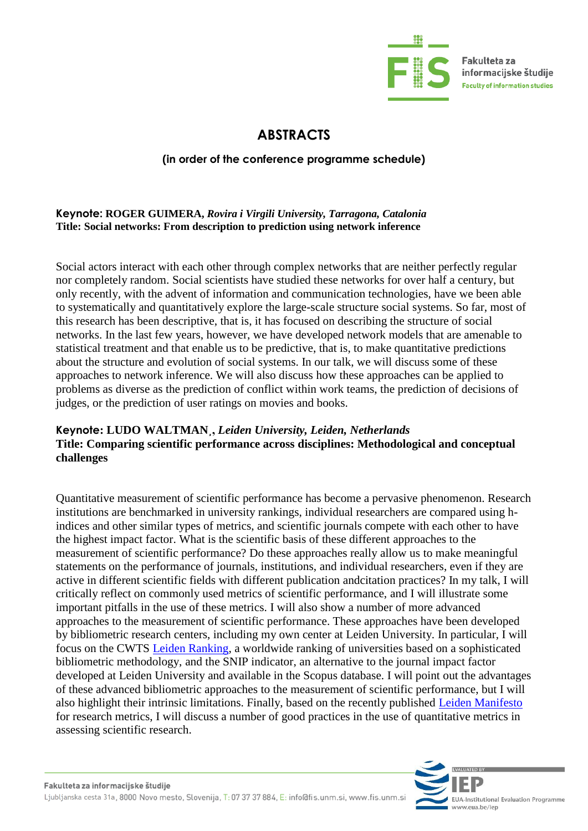

Fakulteta za informacijske študije **Faculty of information studies** 

## **ABSTRACTS**

#### **(in order of the conference programme schedule)**

#### **Keynote: ROGER GUIMERA,** *Rovira i Virgili University, Tarragona, Catalonia* **Title: Social networks: From description to prediction using network inference**

Social actors interact with each other through complex networks that are neither perfectly regular nor completely random. Social scientists have studied these networks for over half a century, but only recently, with the advent of information and communication technologies, have we been able to systematically and quantitatively explore the large-scale structure social systems. So far, most of this research has been descriptive, that is, it has focused on describing the structure of social networks. In the last few years, however, we have developed network models that are amenable to statistical treatment and that enable us to be predictive, that is, to make quantitative predictions about the structure and evolution of social systems. In our talk, we will discuss some of these approaches to network inference. We will also discuss how these approaches can be applied to problems as diverse as the prediction of conflict within work teams, the prediction of decisions of judges, or the prediction of user ratings on movies and books.

#### **Keynote: LUDO WALTMAN¸,** *Leiden University, Leiden, Netherlands* **Title: Comparing scientific performance across disciplines: Methodological and conceptual challenges**

Quantitative measurement of scientific performance has become a pervasive phenomenon. Research institutions are benchmarked in university rankings, individual researchers are compared using hindices and other similar types of metrics, and scientific journals compete with each other to have the highest impact factor. What is the scientific basis of these different approaches to the measurement of scientific performance? Do these approaches really allow us to make meaningful statements on the performance of journals, institutions, and individual researchers, even if they are active in different scientific fields with different publication andcitation practices? In my talk, I will critically reflect on commonly used metrics of scientific performance, and I will illustrate some important pitfalls in the use of these metrics. I will also show a number of more advanced approaches to the measurement of scientific performance. These approaches have been developed by bibliometric research centers, including my own center at Leiden University. In particular, I will focus on the CWTS [Leiden Ranking,](http://www.leidenranking.com/) a worldwide ranking of universities based on a sophisticated bibliometric methodology, and the SNIP indicator, an alternative to the journal impact factor developed at Leiden University and available in the Scopus database. I will point out the advantages of these advanced bibliometric approaches to the measurement of scientific performance, but I will also highlight their intrinsic limitations. Finally, based on the recently published [Leiden Manifesto](http://www.leidenmanifesto.org/) for research metrics, I will discuss a number of good practices in the use of quantitative metrics in assessing scientific research.

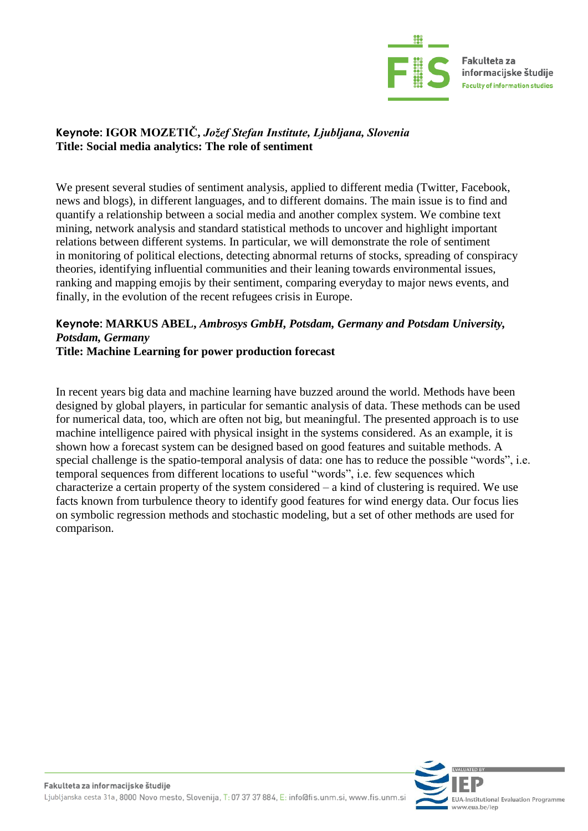

#### **Keynote: [IGOR MOZETIČ,](http://montun.ijs.si/mozetic/)** *Jožef Stefan Institute, Ljubljana, Slovenia* **Title: Social media analytics: The role of sentiment**

We present several studies of sentiment analysis, applied to different media (Twitter, Facebook, news and blogs), in different languages, and to different domains. The main issue is to find and quantify a relationship between a social media and another complex system. We combine text mining, network analysis and standard statistical methods to uncover and highlight important relations between different systems. In particular, we will demonstrate the role of sentiment in monitoring of political elections, detecting abnormal returns of stocks, spreading of conspiracy theories, identifying influential communities and their leaning towards environmental issues, ranking and mapping emojis by their sentiment, comparing everyday to major news events, and finally, in the evolution of the recent refugees crisis in Europe.

## **Keynote: [MARKUS ABEL,](http://www.ambrosys.de/)** *Ambrosys GmbH, Potsdam, Germany and Potsdam University, Potsdam, Germany*

#### **Title: Machine Learning for power production forecast**

In recent years big data and machine learning have buzzed around the world. Methods have been designed by global players, in particular for semantic analysis of data. These methods can be used for numerical data, too, which are often not big, but meaningful. The presented approach is to use machine intelligence paired with physical insight in the systems considered. As an example, it is shown how a forecast system can be designed based on good features and suitable methods. A special challenge is the spatio-temporal analysis of data: one has to reduce the possible "words", i.e. temporal sequences from different locations to useful "words", i.e. few sequences which characterize a certain property of the system considered – a kind of clustering is required. We use facts known from turbulence theory to identify good features for wind energy data. Our focus lies on symbolic regression methods and stochastic modeling, but a set of other methods are used for comparison.

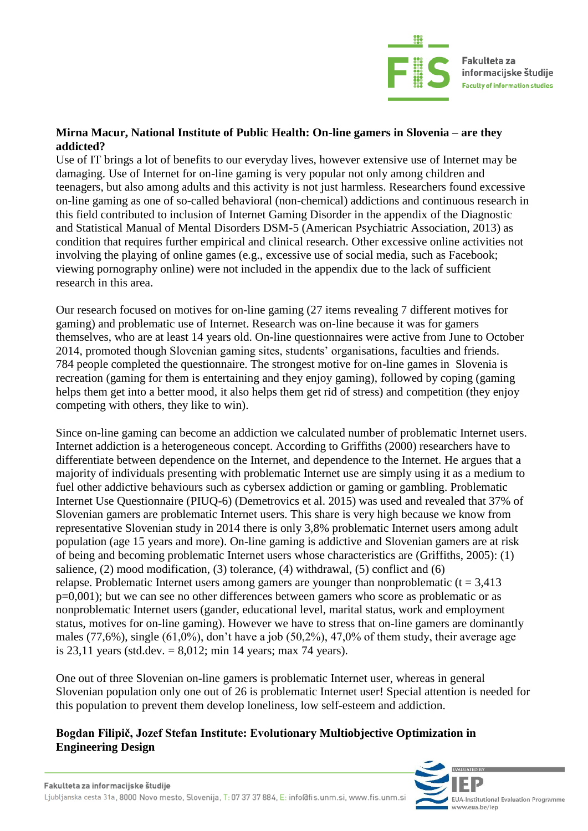

#### **Mirna Macur, National Institute of Public Health: On-line gamers in Slovenia – are they addicted?**

Use of IT brings a lot of benefits to our everyday lives, however extensive use of Internet may be damaging. Use of Internet for on-line gaming is very popular not only among children and teenagers, but also among adults and this activity is not just harmless. Researchers found excessive on-line gaming as one of so-called behavioral (non-chemical) addictions and continuous research in this field contributed to inclusion of Internet Gaming Disorder in the appendix of the Diagnostic and Statistical Manual of Mental Disorders DSM-5 (American Psychiatric Association, 2013) as condition that requires further empirical and clinical research. Other excessive online activities not involving the playing of online games (e.g., excessive use of social media, such as Facebook; viewing pornography online) were not included in the appendix due to the lack of sufficient research in this area.

Our research focused on motives for on-line gaming (27 items revealing 7 different motives for gaming) and problematic use of Internet. Research was on-line because it was for gamers themselves, who are at least 14 years old. On-line questionnaires were active from June to October 2014, promoted though Slovenian gaming sites, students' organisations, faculties and friends. 784 people completed the questionnaire. The strongest motive for on-line games in Slovenia is recreation (gaming for them is entertaining and they enjoy gaming), followed by coping (gaming helps them get into a better mood, it also helps them get rid of stress) and competition (they enjoy competing with others, they like to win).

Since on-line gaming can become an addiction we calculated number of problematic Internet users. Internet addiction is a heterogeneous concept. According to Griffiths (2000) researchers have to differentiate between dependence on the Internet, and dependence to the Internet. He argues that a majority of individuals presenting with problematic Internet use are simply using it as a medium to fuel other addictive behaviours such as cybersex addiction or gaming or gambling. Problematic Internet Use Questionnaire (PIUQ-6) (Demetrovics et al. 2015) was used and revealed that 37% of Slovenian gamers are problematic Internet users. This share is very high because we know from representative Slovenian study in 2014 there is only 3,8% problematic Internet users among adult population (age 15 years and more). On-line gaming is addictive and Slovenian gamers are at risk of being and becoming problematic Internet users whose characteristics are (Griffiths, 2005): (1) salience, (2) mood modification, (3) tolerance, (4) withdrawal, (5) conflict and (6) relapse. Problematic Internet users among gamers are younger than nonproblematic  $(t = 3.413)$ p=0,001); but we can see no other differences between gamers who score as problematic or as nonproblematic Internet users (gander, educational level, marital status, work and employment status, motives for on-line gaming). However we have to stress that on-line gamers are dominantly males (77,6%), single (61,0%), don't have a job (50,2%), 47,0% of them study, their average age is 23,11 years (std.dev.  $= 8,012$ ; min 14 years; max 74 years).

One out of three Slovenian on-line gamers is problematic Internet user, whereas in general Slovenian population only one out of 26 is problematic Internet user! Special attention is needed for this population to prevent them develop loneliness, low self-esteem and addiction.

#### **Bogdan Filipič, Jozef Stefan Institute: Evolutionary Multiobjective Optimization in Engineering Design**

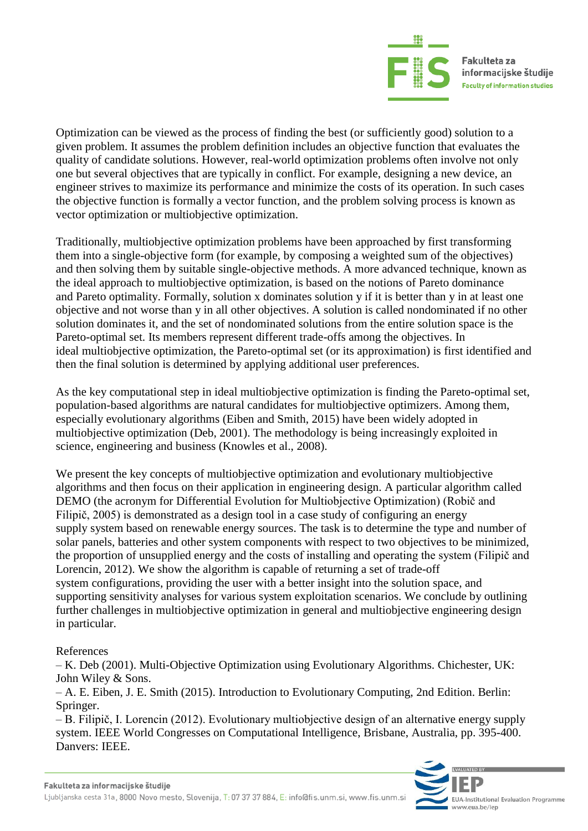

Optimization can be viewed as the process of finding the best (or sufficiently good) solution to a given problem. It assumes the problem definition includes an objective function that evaluates the quality of candidate solutions. However, real-world optimization problems often involve not only one but several objectives that are typically in conflict. For example, designing a new device, an engineer strives to maximize its performance and minimize the costs of its operation. In such cases the objective function is formally a vector function, and the problem solving process is known as vector optimization or multiobjective optimization.

Traditionally, multiobjective optimization problems have been approached by first transforming them into a single-objective form (for example, by composing a weighted sum of the objectives) and then solving them by suitable single-objective methods. A more advanced technique, known as the ideal approach to multiobjective optimization, is based on the notions of Pareto dominance and Pareto optimality. Formally, solution x dominates solution y if it is better than y in at least one objective and not worse than y in all other objectives. A solution is called nondominated if no other solution dominates it, and the set of nondominated solutions from the entire solution space is the Pareto-optimal set. Its members represent different trade-offs among the objectives. In ideal multiobjective optimization, the Pareto-optimal set (or its approximation) is first identified and then the final solution is determined by applying additional user preferences.

As the key computational step in ideal multiobjective optimization is finding the Pareto-optimal set, population-based algorithms are natural candidates for multiobjective optimizers. Among them, especially evolutionary algorithms (Eiben and Smith, 2015) have been widely adopted in multiobjective optimization (Deb, 2001). The methodology is being increasingly exploited in science, engineering and business (Knowles et al., 2008).

We present the key concepts of multiobjective optimization and evolutionary multiobjective algorithms and then focus on their application in engineering design. A particular algorithm called DEMO (the acronym for Differential Evolution for Multiobjective Optimization) (Robič and Filipič, 2005) is demonstrated as a design tool in a case study of configuring an energy supply system based on renewable energy sources. The task is to determine the type and number of solar panels, batteries and other system components with respect to two objectives to be minimized, the proportion of unsupplied energy and the costs of installing and operating the system (Filipič and Lorencin, 2012). We show the algorithm is capable of returning a set of trade-off system configurations, providing the user with a better insight into the solution space, and supporting sensitivity analyses for various system exploitation scenarios. We conclude by outlining further challenges in multiobjective optimization in general and multiobjective engineering design in particular.

#### References

– K. Deb (2001). Multi-Objective Optimization using Evolutionary Algorithms. Chichester, UK: John Wiley & Sons.

– A. E. Eiben, J. E. Smith (2015). Introduction to Evolutionary Computing, 2nd Edition. Berlin: Springer.

– B. Filipič, I. Lorencin (2012). Evolutionary multiobjective design of an alternative energy supply system. IEEE World Congresses on Computational Intelligence, Brisbane, Australia, pp. 395-400. Danvers: IEEE.

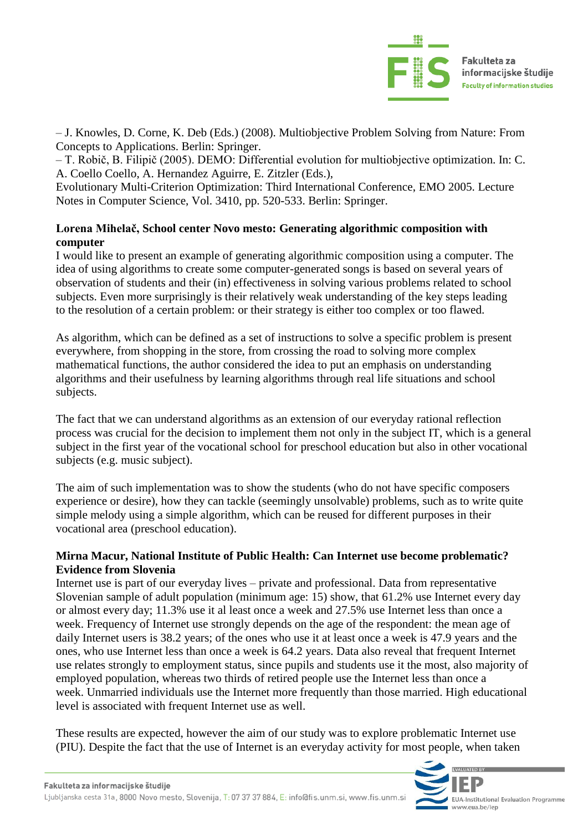

– J. Knowles, D. Corne, K. Deb (Eds.) (2008). Multiobjective Problem Solving from Nature: From Concepts to Applications. Berlin: Springer.

– T. Robič, B. Filipič (2005). DEMO: Differential evolution for multiobjective optimization. In: C. A. Coello Coello, A. Hernandez Aguirre, E. Zitzler (Eds.),

Evolutionary Multi-Criterion Optimization: Third International Conference, EMO 2005. Lecture Notes in Computer Science, Vol. 3410, pp. 520-533. Berlin: Springer.

#### **Lorena Mihelač, School center Novo mesto: Generating algorithmic composition with computer**

I would like to present an example of generating algorithmic composition using a computer. The idea of using algorithms to create some computer-generated songs is based on several years of observation of students and their (in) effectiveness in solving various problems related to school subjects. Even more surprisingly is their relatively weak understanding of the key steps leading to the resolution of a certain problem: or their strategy is either too complex or too flawed.

As algorithm, which can be defined as a set of instructions to solve a specific problem is present everywhere, from shopping in the store, from crossing the road to solving more complex mathematical functions, the author considered the idea to put an emphasis on understanding algorithms and their usefulness by learning algorithms through real life situations and school subjects.

The fact that we can understand algorithms as an extension of our everyday rational reflection process was crucial for the decision to implement them not only in the subject IT, which is a general subject in the first year of the vocational school for preschool education but also in other vocational subjects (e.g. music subject).

The aim of such implementation was to show the students (who do not have specific composers experience or desire), how they can tackle (seemingly unsolvable) problems, such as to write quite simple melody using a simple algorithm, which can be reused for different purposes in their vocational area (preschool education).

#### **Mirna Macur, National Institute of Public Health: Can Internet use become problematic? Evidence from Slovenia**

Internet use is part of our everyday lives – private and professional. Data from representative Slovenian sample of adult population (minimum age: 15) show, that 61.2% use Internet every day or almost every day; 11.3% use it al least once a week and 27.5% use Internet less than once a week. Frequency of Internet use strongly depends on the age of the respondent: the mean age of daily Internet users is 38.2 years; of the ones who use it at least once a week is 47.9 years and the ones, who use Internet less than once a week is 64.2 years. Data also reveal that frequent Internet use relates strongly to employment status, since pupils and students use it the most, also majority of employed population, whereas two thirds of retired people use the Internet less than once a week. Unmarried individuals use the Internet more frequently than those married. High educational level is associated with frequent Internet use as well.

These results are expected, however the aim of our study was to explore problematic Internet use (PIU). Despite the fact that the use of Internet is an everyday activity for most people, when taken

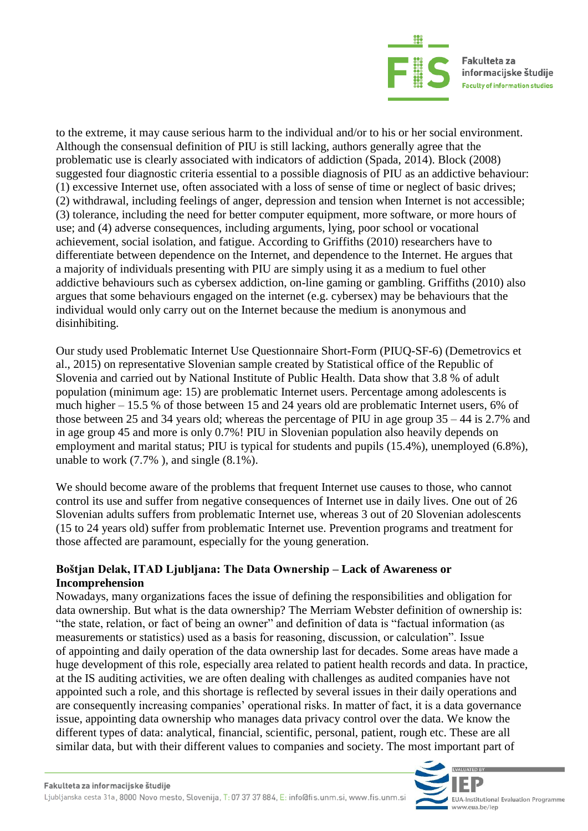

to the extreme, it may cause serious harm to the individual and/or to his or her social environment. Although the consensual definition of PIU is still lacking, authors generally agree that the problematic use is clearly associated with indicators of addiction (Spada, 2014). Block (2008) suggested four diagnostic criteria essential to a possible diagnosis of PIU as an addictive behaviour: (1) excessive Internet use, often associated with a loss of sense of time or neglect of basic drives; (2) withdrawal, including feelings of anger, depression and tension when Internet is not accessible; (3) tolerance, including the need for better computer equipment, more software, or more hours of use; and (4) adverse consequences, including arguments, lying, poor school or vocational achievement, social isolation, and fatigue. According to Griffiths (2010) researchers have to differentiate between dependence on the Internet, and dependence to the Internet. He argues that a majority of individuals presenting with PIU are simply using it as a medium to fuel other addictive behaviours such as cybersex addiction, on-line gaming or gambling. Griffiths (2010) also argues that some behaviours engaged on the internet (e.g. cybersex) may be behaviours that the individual would only carry out on the Internet because the medium is anonymous and disinhibiting.

Our study used Problematic Internet Use Questionnaire Short-Form (PIUQ-SF-6) (Demetrovics et al., 2015) on representative Slovenian sample created by Statistical office of the Republic of Slovenia and carried out by National Institute of Public Health. Data show that 3.8 % of adult population (minimum age: 15) are problematic Internet users. Percentage among adolescents is much higher – 15.5 % of those between 15 and 24 years old are problematic Internet users, 6% of those between 25 and 34 years old; whereas the percentage of PIU in age group 35 – 44 is 2.7% and in age group 45 and more is only 0.7%! PIU in Slovenian population also heavily depends on employment and marital status; PIU is typical for students and pupils (15.4%), unemployed (6.8%), unable to work (7.7% ), and single (8.1%).

We should become aware of the problems that frequent Internet use causes to those, who cannot control its use and suffer from negative consequences of Internet use in daily lives. One out of 26 Slovenian adults suffers from problematic Internet use, whereas 3 out of 20 Slovenian adolescents (15 to 24 years old) suffer from problematic Internet use. Prevention programs and treatment for those affected are paramount, especially for the young generation.

#### **Boštjan Delak, ITAD Ljubljana: The Data Ownership – Lack of Awareness or Incomprehension**

Nowadays, many organizations faces the issue of defining the responsibilities and obligation for data ownership. But what is the data ownership? The Merriam Webster definition of ownership is: "the state, relation, or fact of being an owner" and definition of data is "factual information (as measurements or statistics) used as a basis for reasoning, discussion, or calculation". Issue of appointing and daily operation of the data ownership last for decades. Some areas have made a huge development of this role, especially area related to patient health records and data. In practice, at the IS auditing activities, we are often dealing with challenges as audited companies have not appointed such a role, and this shortage is reflected by several issues in their daily operations and are consequently increasing companies' operational risks. In matter of fact, it is a data governance issue, appointing data ownership who manages data privacy control over the data. We know the different types of data: analytical, financial, scientific, personal, patient, rough etc. These are all similar data, but with their different values to companies and society. The most important part of

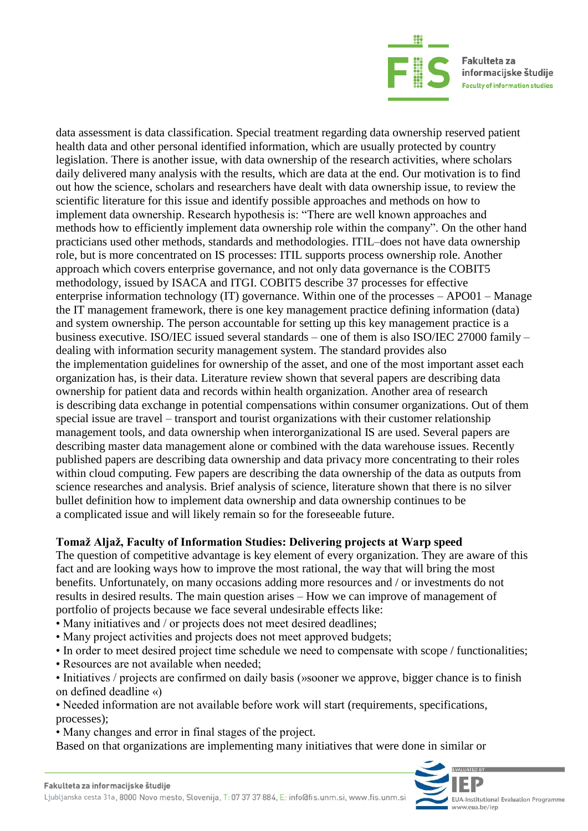

data assessment is data classification. Special treatment regarding data ownership reserved patient health data and other personal identified information, which are usually protected by country legislation. There is another issue, with data ownership of the research activities, where scholars daily delivered many analysis with the results, which are data at the end. Our motivation is to find out how the science, scholars and researchers have dealt with data ownership issue, to review the scientific literature for this issue and identify possible approaches and methods on how to implement data ownership. Research hypothesis is: "There are well known approaches and methods how to efficiently implement data ownership role within the company". On the other hand practicians used other methods, standards and methodologies. ITIL–does not have data ownership role, but is more concentrated on IS processes: ITIL supports process ownership role. Another approach which covers enterprise governance, and not only data governance is the COBIT5 methodology, issued by ISACA and ITGI. COBIT5 describe 37 processes for effective enterprise information technology (IT) governance. Within one of the processes – APO01 – Manage the IT management framework, there is one key management practice defining information (data) and system ownership. The person accountable for setting up this key management practice is a business executive. ISO/IEC issued several standards – one of them is also ISO/IEC 27000 family – dealing with information security management system. The standard provides also the implementation guidelines for ownership of the asset, and one of the most important asset each organization has, is their data. Literature review shown that several papers are describing data ownership for patient data and records within health organization. Another area of research is describing data exchange in potential compensations within consumer organizations. Out of them special issue are travel – transport and tourist organizations with their customer relationship management tools, and data ownership when interorganizational IS are used. Several papers are describing master data management alone or combined with the data warehouse issues. Recently published papers are describing data ownership and data privacy more concentrating to their roles within cloud computing. Few papers are describing the data ownership of the data as outputs from science researches and analysis. Brief analysis of science, literature shown that there is no silver bullet definition how to implement data ownership and data ownership continues to be a complicated issue and will likely remain so for the foreseeable future.

#### **Tomaž Aljaž, Faculty of Information Studies: Delivering projects at Warp speed**

The question of competitive advantage is key element of every organization. They are aware of this fact and are looking ways how to improve the most rational, the way that will bring the most benefits. Unfortunately, on many occasions adding more resources and / or investments do not results in desired results. The main question arises – How we can improve of management of portfolio of projects because we face several undesirable effects like:

- Many initiatives and / or projects does not meet desired deadlines;
- Many project activities and projects does not meet approved budgets;
- In order to meet desired project time schedule we need to compensate with scope / functionalities;
- Resources are not available when needed;

• Initiatives / projects are confirmed on daily basis (»sooner we approve, bigger chance is to finish on defined deadline «)

• Needed information are not available before work will start (requirements, specifications, processes);

• Many changes and error in final stages of the project.

Based on that organizations are implementing many initiatives that were done in similar or

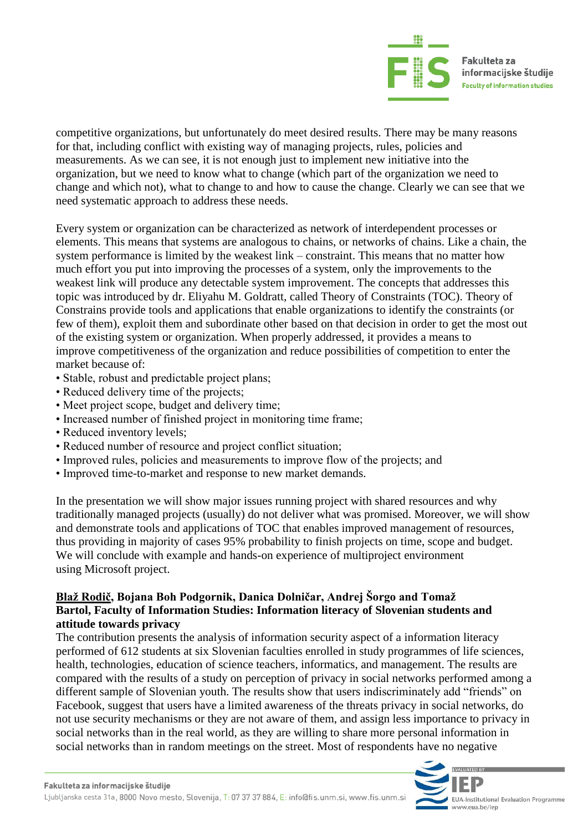

competitive organizations, but unfortunately do meet desired results. There may be many reasons for that, including conflict with existing way of managing projects, rules, policies and measurements. As we can see, it is not enough just to implement new initiative into the organization, but we need to know what to change (which part of the organization we need to change and which not), what to change to and how to cause the change. Clearly we can see that we need systematic approach to address these needs.

Every system or organization can be characterized as network of interdependent processes or elements. This means that systems are analogous to chains, or networks of chains. Like a chain, the system performance is limited by the weakest link – constraint. This means that no matter how much effort you put into improving the processes of a system, only the improvements to the weakest link will produce any detectable system improvement. The concepts that addresses this topic was introduced by dr. Eliyahu M. Goldratt, called Theory of Constraints (TOC). Theory of Constrains provide tools and applications that enable organizations to identify the constraints (or few of them), exploit them and subordinate other based on that decision in order to get the most out of the existing system or organization. When properly addressed, it provides a means to improve competitiveness of the organization and reduce possibilities of competition to enter the market because of:

- Stable, robust and predictable project plans;
- Reduced delivery time of the projects;
- Meet project scope, budget and delivery time;
- Increased number of finished project in monitoring time frame;
- Reduced inventory levels;
- Reduced number of resource and project conflict situation;
- Improved rules, policies and measurements to improve flow of the projects; and
- Improved time-to-market and response to new market demands.

In the presentation we will show major issues running project with shared resources and why traditionally managed projects (usually) do not deliver what was promised. Moreover, we will show and demonstrate tools and applications of TOC that enables improved management of resources, thus providing in majority of cases 95% probability to finish projects on time, scope and budget. We will conclude with example and hands-on experience of multiproject environment using Microsoft project.

#### **Blaž Rodič, Bojana Boh Podgornik, Danica Dolničar, Andrej Šorgo and Tomaž Bartol, Faculty of Information Studies: Information literacy of Slovenian students and attitude towards privacy**

The contribution presents the analysis of information security aspect of a information literacy performed of 612 students at six Slovenian faculties enrolled in study programmes of life sciences, health, technologies, education of science teachers, informatics, and management. The results are compared with the results of a study on perception of privacy in social networks performed among a different sample of Slovenian youth. The results show that users indiscriminately add "friends" on Facebook, suggest that users have a limited awareness of the threats privacy in social networks, do not use security mechanisms or they are not aware of them, and assign less importance to privacy in social networks than in the real world, as they are willing to share more personal information in social networks than in random meetings on the street. Most of respondents have no negative

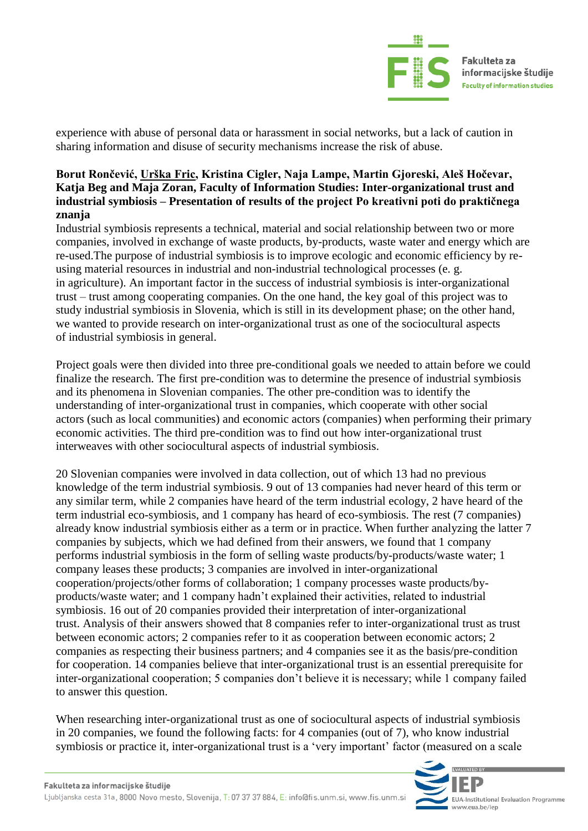

experience with abuse of personal data or harassment in social networks, but a lack of caution in sharing information and disuse of security mechanisms increase the risk of abuse.

#### **Borut Rončević, Urška Fric, Kristina Cigler, Naja Lampe, Martin Gjoreski, Aleš Hočevar, Katja Beg and Maja Zoran, Faculty of Information Studies: Inter-organizational trust and industrial symbiosis – Presentation of results of the project Po kreativni poti do praktičnega znanja**

Industrial symbiosis represents a technical, material and social relationship between two or more companies, involved in exchange of waste products, by-products, waste water and energy which are re-used.The purpose of industrial symbiosis is to improve ecologic and economic efficiency by reusing material resources in industrial and non-industrial technological processes (e. g. in agriculture). An important factor in the success of industrial symbiosis is inter-organizational trust – trust among cooperating companies. On the one hand, the key goal of this project was to study industrial symbiosis in Slovenia, which is still in its development phase; on the other hand, we wanted to provide research on inter-organizational trust as one of the sociocultural aspects of industrial symbiosis in general.

Project goals were then divided into three pre-conditional goals we needed to attain before we could finalize the research. The first pre-condition was to determine the presence of industrial symbiosis and its phenomena in Slovenian companies. The other pre-condition was to identify the understanding of inter-organizational trust in companies, which cooperate with other social actors (such as local communities) and economic actors (companies) when performing their primary economic activities. The third pre-condition was to find out how inter-organizational trust interweaves with other sociocultural aspects of industrial symbiosis.

20 Slovenian companies were involved in data collection, out of which 13 had no previous knowledge of the term industrial symbiosis. 9 out of 13 companies had never heard of this term or any similar term, while 2 companies have heard of the term industrial ecology, 2 have heard of the term industrial eco-symbiosis, and 1 company has heard of eco-symbiosis. The rest (7 companies) already know industrial symbiosis either as a term or in practice. When further analyzing the latter 7 companies by subjects, which we had defined from their answers, we found that 1 company performs industrial symbiosis in the form of selling waste products/by-products/waste water; 1 company leases these products; 3 companies are involved in inter-organizational cooperation/projects/other forms of collaboration; 1 company processes waste products/byproducts/waste water; and 1 company hadn't explained their activities, related to industrial symbiosis. 16 out of 20 companies provided their interpretation of inter-organizational trust. Analysis of their answers showed that 8 companies refer to inter-organizational trust as trust between economic actors; 2 companies refer to it as cooperation between economic actors; 2 companies as respecting their business partners; and 4 companies see it as the basis/pre-condition for cooperation. 14 companies believe that inter-organizational trust is an essential prerequisite for inter-organizational cooperation; 5 companies don't believe it is necessary; while 1 company failed to answer this question.

When researching inter-organizational trust as one of sociocultural aspects of industrial symbiosis in 20 companies, we found the following facts: for 4 companies (out of 7), who know industrial symbiosis or practice it, inter-organizational trust is a 'very important' factor (measured on a scale

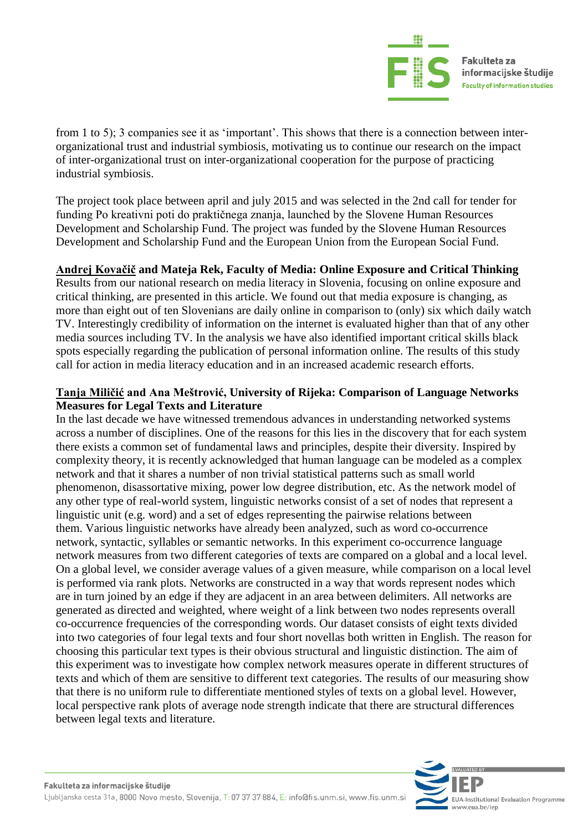

from 1 to 5); 3 companies see it as 'important'. This shows that there is a connection between interorganizational trust and industrial symbiosis, motivating us to continue our research on the impact of inter-organizational trust on inter-organizational cooperation for the purpose of practicing industrial symbiosis.

The project took place between april and july 2015 and was selected in the 2nd call for tender for funding Po kreativni poti do praktičnega znanja, launched by the Slovene Human Resources Development and Scholarship Fund. The project was funded by the Slovene Human Resources Development and Scholarship Fund and the European Union from the European Social Fund.

#### **Andrej Kovačič and Mateja Rek, Faculty of Media: Online Exposure and Critical Thinking**

Results from our national research on media literacy in Slovenia, focusing on online exposure and critical thinking, are presented in this article. We found out that media exposure is changing, as more than eight out of ten Slovenians are daily online in comparison to (only) six which daily watch TV. Interestingly credibility of information on the internet is evaluated higher than that of any other media sources including TV. In the analysis we have also identified important critical skills black spots especially regarding the publication of personal information online. The results of this study call for action in media literacy education and in an increased academic research efforts.

#### **Tanja Miličić and Ana Meštrović, University of Rijeka: Comparison of Language Networks Measures for Legal Texts and Literature**

In the last decade we have witnessed tremendous advances in understanding networked systems across a number of disciplines. One of the reasons for this lies in the discovery that for each system there exists a common set of fundamental laws and principles, despite their diversity. Inspired by complexity theory, it is recently acknowledged that human language can be modeled as a complex network and that it shares a number of non trivial statistical patterns such as small world phenomenon, disassortative mixing, power low degree distribution, etc. As the network model of any other type of real-world system, linguistic networks consist of a set of nodes that represent a linguistic unit (e.g. word) and a set of edges representing the pairwise relations between them. Various linguistic networks have already been analyzed, such as word co-occurrence network, syntactic, syllables or semantic networks. In this experiment co-occurrence language network measures from two different categories of texts are compared on a global and a local level. On a global level, we consider average values of a given measure, while comparison on a local level is performed via rank plots. Networks are constructed in a way that words represent nodes which are in turn joined by an edge if they are adjacent in an area between delimiters. All networks are generated as directed and weighted, where weight of a link between two nodes represents overall co-occurrence frequencies of the corresponding words. Our dataset consists of eight texts divided into two categories of four legal texts and four short novellas both written in English. The reason for choosing this particular text types is their obvious structural and linguistic distinction. The aim of this experiment was to investigate how complex network measures operate in different structures of texts and which of them are sensitive to different text categories. The results of our measuring show that there is no uniform rule to differentiate mentioned styles of texts on a global level. However, local perspective rank plots of average node strength indicate that there are structural differences between legal texts and literature.

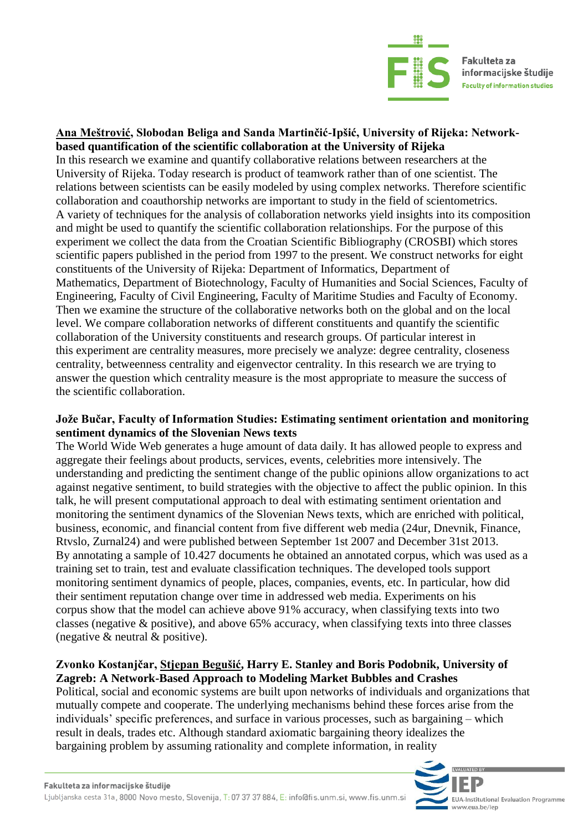

#### **Ana Meštrović, Slobodan Beliga and Sanda Martinčić-Ipšić, University of Rijeka: Networkbased quantification of the scientific collaboration at the University of Rijeka**

In this research we examine and quantify collaborative relations between researchers at the University of Rijeka. Today research is product of teamwork rather than of one scientist. The relations between scientists can be easily modeled by using complex networks. Therefore scientific collaboration and coauthorship networks are important to study in the field of scientometrics. A variety of techniques for the analysis of collaboration networks yield insights into its composition and might be used to quantify the scientific collaboration relationships. For the purpose of this experiment we collect the data from the Croatian Scientific Bibliography (CROSBI) which stores scientific papers published in the period from 1997 to the present. We construct networks for eight constituents of the University of Rijeka: Department of Informatics, Department of Mathematics, Department of Biotechnology, Faculty of Humanities and Social Sciences, Faculty of Engineering, Faculty of Civil Engineering, Faculty of Maritime Studies and Faculty of Economy. Then we examine the structure of the collaborative networks both on the global and on the local level. We compare collaboration networks of different constituents and quantify the scientific collaboration of the University constituents and research groups. Of particular interest in this experiment are centrality measures, more precisely we analyze: degree centrality, closeness centrality, betweenness centrality and eigenvector centrality. In this research we are trying to answer the question which centrality measure is the most appropriate to measure the success of the scientific collaboration.

#### **Jože Bučar, Faculty of Information Studies: Estimating sentiment orientation and monitoring sentiment dynamics of the Slovenian News texts**

The World Wide Web generates a huge amount of data daily. It has allowed people to express and aggregate their feelings about products, services, events, celebrities more intensively. The understanding and predicting the sentiment change of the public opinions allow organizations to act against negative sentiment, to build strategies with the objective to affect the public opinion. In this talk, he will present computational approach to deal with estimating sentiment orientation and monitoring the sentiment dynamics of the Slovenian News texts, which are enriched with political, business, economic, and financial content from five different web media (24ur, Dnevnik, Finance, Rtvslo, Zurnal24) and were published between September 1st 2007 and December 31st 2013. By annotating a sample of 10.427 documents he obtained an annotated corpus, which was used as a training set to train, test and evaluate classification techniques. The developed tools support monitoring sentiment dynamics of people, places, companies, events, etc. In particular, how did their sentiment reputation change over time in addressed web media. Experiments on his corpus show that the model can achieve above 91% accuracy, when classifying texts into two classes (negative & positive), and above 65% accuracy, when classifying texts into three classes (negative & neutral & positive).

#### **Zvonko Kostanjčar, Stjepan Begušić, Harry E. Stanley and Boris Podobnik, University of Zagreb: A Network-Based Approach to Modeling Market Bubbles and Crashes**

Political, social and economic systems are built upon networks of individuals and organizations that mutually compete and cooperate. The underlying mechanisms behind these forces arise from the individuals' specific preferences, and surface in various processes, such as bargaining – which result in deals, trades etc. Although standard axiomatic bargaining theory idealizes the bargaining problem by assuming rationality and complete information, in reality

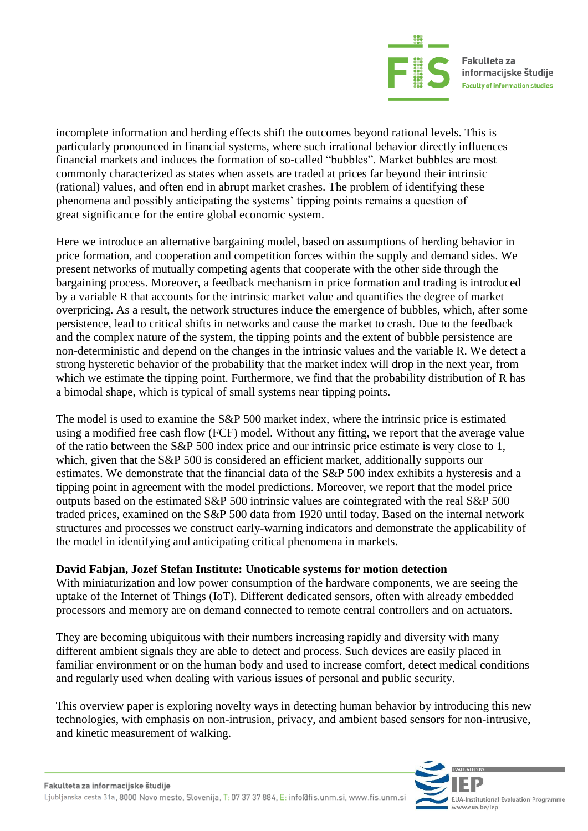

incomplete information and herding effects shift the outcomes beyond rational levels. This is particularly pronounced in financial systems, where such irrational behavior directly influences financial markets and induces the formation of so-called "bubbles". Market bubbles are most commonly characterized as states when assets are traded at prices far beyond their intrinsic (rational) values, and often end in abrupt market crashes. The problem of identifying these phenomena and possibly anticipating the systems' tipping points remains a question of great significance for the entire global economic system.

Here we introduce an alternative bargaining model, based on assumptions of herding behavior in price formation, and cooperation and competition forces within the supply and demand sides. We present networks of mutually competing agents that cooperate with the other side through the bargaining process. Moreover, a feedback mechanism in price formation and trading is introduced by a variable R that accounts for the intrinsic market value and quantifies the degree of market overpricing. As a result, the network structures induce the emergence of bubbles, which, after some persistence, lead to critical shifts in networks and cause the market to crash. Due to the feedback and the complex nature of the system, the tipping points and the extent of bubble persistence are non-deterministic and depend on the changes in the intrinsic values and the variable R. We detect a strong hysteretic behavior of the probability that the market index will drop in the next year, from which we estimate the tipping point. Furthermore, we find that the probability distribution of R has a bimodal shape, which is typical of small systems near tipping points.

The model is used to examine the S&P 500 market index, where the intrinsic price is estimated using a modified free cash flow (FCF) model. Without any fitting, we report that the average value of the ratio between the S&P 500 index price and our intrinsic price estimate is very close to 1, which, given that the S&P 500 is considered an efficient market, additionally supports our estimates. We demonstrate that the financial data of the S&P 500 index exhibits a hysteresis and a tipping point in agreement with the model predictions. Moreover, we report that the model price outputs based on the estimated S&P 500 intrinsic values are cointegrated with the real S&P 500 traded prices, examined on the S&P 500 data from 1920 until today. Based on the internal network structures and processes we construct early-warning indicators and demonstrate the applicability of the model in identifying and anticipating critical phenomena in markets.

#### **David Fabjan, Jozef Stefan Institute: Unoticable systems for motion detection**

With miniaturization and low power consumption of the hardware components, we are seeing the uptake of the Internet of Things (IoT). Different dedicated sensors, often with already embedded processors and memory are on demand connected to remote central controllers and on actuators.

They are becoming ubiquitous with their numbers increasing rapidly and diversity with many different ambient signals they are able to detect and process. Such devices are easily placed in familiar environment or on the human body and used to increase comfort, detect medical conditions and regularly used when dealing with various issues of personal and public security.

This overview paper is exploring novelty ways in detecting human behavior by introducing this new technologies, with emphasis on non-intrusion, privacy, and ambient based sensors for non-intrusive, and kinetic measurement of walking.

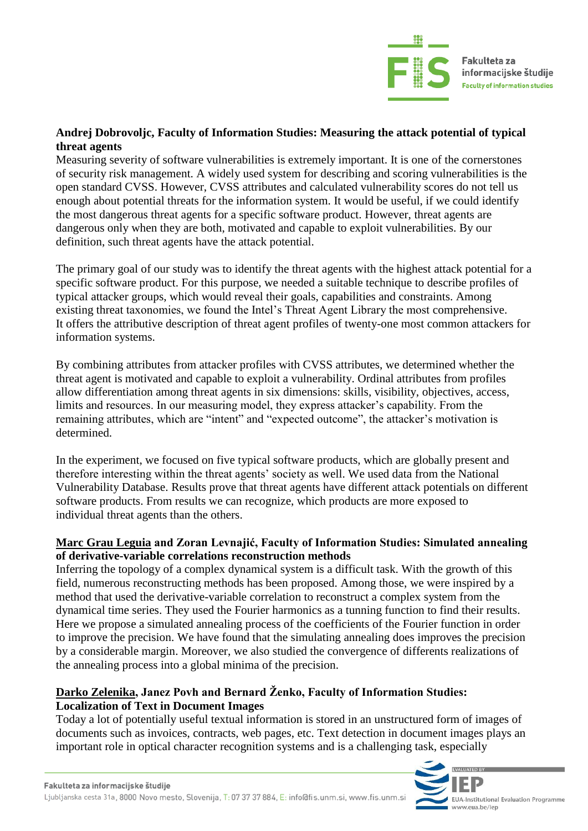

#### **Andrej Dobrovoljc, Faculty of Information Studies: Measuring the attack potential of typical threat agents**

Measuring severity of software vulnerabilities is extremely important. It is one of the cornerstones of security risk management. A widely used system for describing and scoring vulnerabilities is the open standard CVSS. However, CVSS attributes and calculated vulnerability scores do not tell us enough about potential threats for the information system. It would be useful, if we could identify the most dangerous threat agents for a specific software product. However, threat agents are dangerous only when they are both, motivated and capable to exploit vulnerabilities. By our definition, such threat agents have the attack potential.

The primary goal of our study was to identify the threat agents with the highest attack potential for a specific software product. For this purpose, we needed a suitable technique to describe profiles of typical attacker groups, which would reveal their goals, capabilities and constraints. Among existing threat taxonomies, we found the Intel's Threat Agent Library the most comprehensive. It offers the attributive description of threat agent profiles of twenty-one most common attackers for information systems.

By combining attributes from attacker profiles with CVSS attributes, we determined whether the threat agent is motivated and capable to exploit a vulnerability. Ordinal attributes from profiles allow differentiation among threat agents in six dimensions: skills, visibility, objectives, access, limits and resources. In our measuring model, they express attacker's capability. From the remaining attributes, which are "intent" and "expected outcome", the attacker's motivation is determined.

In the experiment, we focused on five typical software products, which are globally present and therefore interesting within the threat agents' society as well. We used data from the National Vulnerability Database. Results prove that threat agents have different attack potentials on different software products. From results we can recognize, which products are more exposed to individual threat agents than the others.

#### **Marc Grau Leguia and Zoran Levnajić, Faculty of Information Studies: Simulated annealing of derivative-variable correlations reconstruction methods**

Inferring the topology of a complex dynamical system is a difficult task. With the growth of this field, numerous reconstructing methods has been proposed. Among those, we were inspired by a method that used the derivative-variable correlation to reconstruct a complex system from the dynamical time series. They used the Fourier harmonics as a tunning function to find their results. Here we propose a simulated annealing process of the coefficients of the Fourier function in order to improve the precision. We have found that the simulating annealing does improves the precision by a considerable margin. Moreover, we also studied the convergence of differents realizations of the annealing process into a global minima of the precision.

#### **Darko Zelenika, Janez Povh and Bernard Ženko, Faculty of Information Studies: Localization of Text in Document Images**

Today a lot of potentially useful textual information is stored in an unstructured form of images of documents such as invoices, contracts, web pages, etc. Text detection in document images plays an important role in optical character recognition systems and is a challenging task, especially

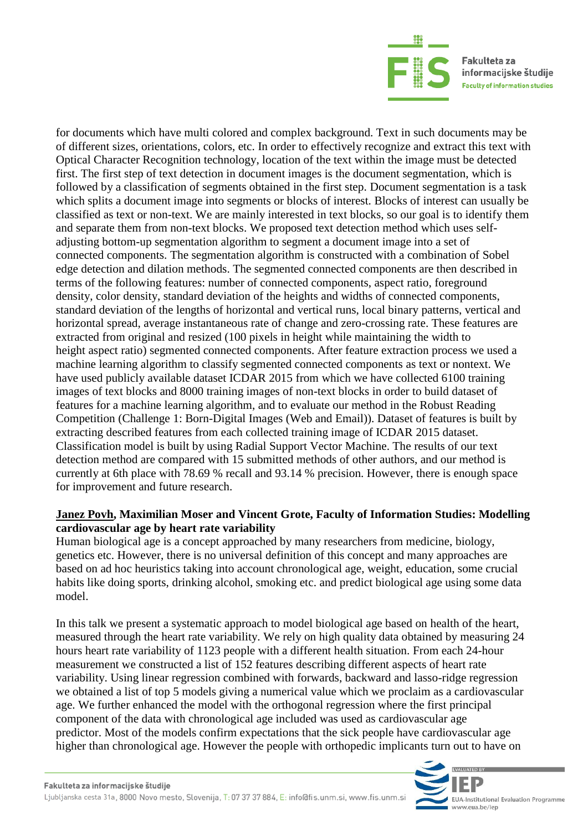

for documents which have multi colored and complex background. Text in such documents may be of different sizes, orientations, colors, etc. In order to effectively recognize and extract this text with Optical Character Recognition technology, location of the text within the image must be detected first. The first step of text detection in document images is the document segmentation, which is followed by a classification of segments obtained in the first step. Document segmentation is a task which splits a document image into segments or blocks of interest. Blocks of interest can usually be classified as text or non-text. We are mainly interested in text blocks, so our goal is to identify them and separate them from non-text blocks. We proposed text detection method which uses selfadjusting bottom-up segmentation algorithm to segment a document image into a set of connected components. The segmentation algorithm is constructed with a combination of Sobel edge detection and dilation methods. The segmented connected components are then described in terms of the following features: number of connected components, aspect ratio, foreground density, color density, standard deviation of the heights and widths of connected components, standard deviation of the lengths of horizontal and vertical runs, local binary patterns, vertical and horizontal spread, average instantaneous rate of change and zero-crossing rate. These features are extracted from original and resized (100 pixels in height while maintaining the width to height aspect ratio) segmented connected components. After feature extraction process we used a machine learning algorithm to classify segmented connected components as text or nontext. We have used publicly available dataset ICDAR 2015 from which we have collected 6100 training images of text blocks and 8000 training images of non-text blocks in order to build dataset of features for a machine learning algorithm, and to evaluate our method in the Robust Reading Competition (Challenge 1: Born-Digital Images (Web and Email)). Dataset of features is built by extracting described features from each collected training image of ICDAR 2015 dataset. Classification model is built by using Radial Support Vector Machine. The results of our text detection method are compared with 15 submitted methods of other authors, and our method is currently at 6th place with 78.69 % recall and 93.14 % precision. However, there is enough space for improvement and future research.

#### **Janez Povh, Maximilian Moser and Vincent Grote, Faculty of Information Studies: Modelling cardiovascular age by heart rate variability**

Human biological age is a concept approached by many researchers from medicine, biology, genetics etc. However, there is no universal definition of this concept and many approaches are based on ad hoc heuristics taking into account chronological age, weight, education, some crucial habits like doing sports, drinking alcohol, smoking etc. and predict biological age using some data model.

In this talk we present a systematic approach to model biological age based on health of the heart, measured through the heart rate variability. We rely on high quality data obtained by measuring 24 hours heart rate variability of 1123 people with a different health situation. From each 24-hour measurement we constructed a list of 152 features describing different aspects of heart rate variability. Using linear regression combined with forwards, backward and lasso-ridge regression we obtained a list of top 5 models giving a numerical value which we proclaim as a cardiovascular age. We further enhanced the model with the orthogonal regression where the first principal component of the data with chronological age included was used as cardiovascular age predictor. Most of the models confirm expectations that the sick people have cardiovascular age higher than chronological age. However the people with orthopedic implicants turn out to have on

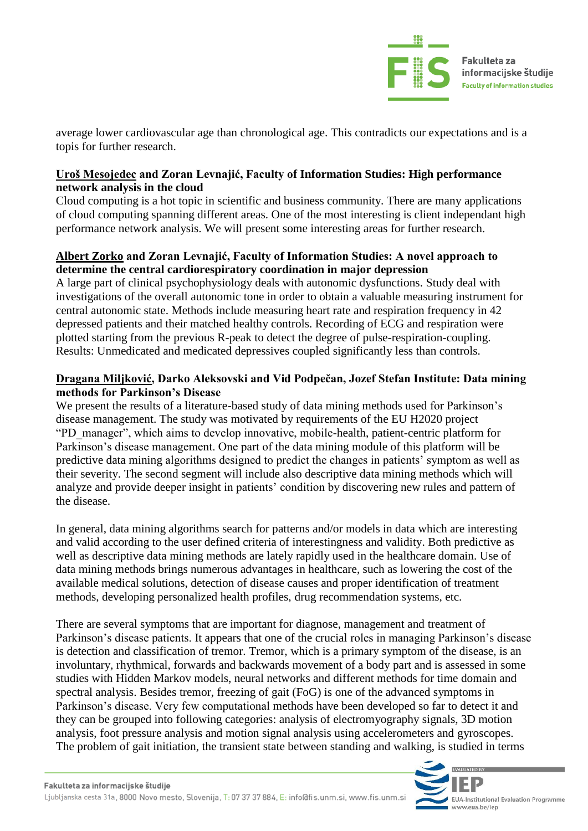

average lower cardiovascular age than chronological age. This contradicts our expectations and is a topis for further research.

#### **Uroš Mesojedec and Zoran Levnajić, Faculty of Information Studies: High performance network analysis in the cloud**

Cloud computing is a hot topic in scientific and business community. There are many applications of cloud computing spanning different areas. One of the most interesting is client independant high performance network analysis. We will present some interesting areas for further research.

#### **Albert Zorko and Zoran Levnajić, Faculty of Information Studies: A novel approach to determine the central cardiorespiratory coordination in major depression**

A large part of clinical psychophysiology deals with autonomic dysfunctions. Study deal with investigations of the overall autonomic tone in order to obtain a valuable measuring instrument for central autonomic state. Methods include measuring heart rate and respiration frequency in 42 depressed patients and their matched healthy controls. Recording of ECG and respiration were plotted starting from the previous R-peak to detect the degree of pulse-respiration-coupling. Results: Unmedicated and medicated depressives coupled significantly less than controls.

#### **Dragana Miljković, Darko Aleksovski and Vid Podpečan, Jozef Stefan Institute: Data mining methods for Parkinson's Disease**

We present the results of a literature-based study of data mining methods used for Parkinson's disease management. The study was motivated by requirements of the EU H2020 project "PD\_manager", which aims to develop innovative, mobile-health, patient-centric platform for Parkinson's disease management. One part of the data mining module of this platform will be predictive data mining algorithms designed to predict the changes in patients' symptom as well as their severity. The second segment will include also descriptive data mining methods which will analyze and provide deeper insight in patients' condition by discovering new rules and pattern of the disease.

In general, data mining algorithms search for patterns and/or models in data which are interesting and valid according to the user defined criteria of interestingness and validity. Both predictive as well as descriptive data mining methods are lately rapidly used in the healthcare domain. Use of data mining methods brings numerous advantages in healthcare, such as lowering the cost of the available medical solutions, detection of disease causes and proper identification of treatment methods, developing personalized health profiles, drug recommendation systems, etc.

There are several symptoms that are important for diagnose, management and treatment of Parkinson's disease patients. It appears that one of the crucial roles in managing Parkinson's disease is detection and classification of tremor. Tremor, which is a primary symptom of the disease, is an involuntary, rhythmical, forwards and backwards movement of a body part and is assessed in some studies with Hidden Markov models, neural networks and different methods for time domain and spectral analysis. Besides tremor, freezing of gait (FoG) is one of the advanced symptoms in Parkinson's disease. Very few computational methods have been developed so far to detect it and they can be grouped into following categories: analysis of electromyography signals, 3D motion analysis, foot pressure analysis and motion signal analysis using accelerometers and gyroscopes. The problem of gait initiation, the transient state between standing and walking, is studied in terms